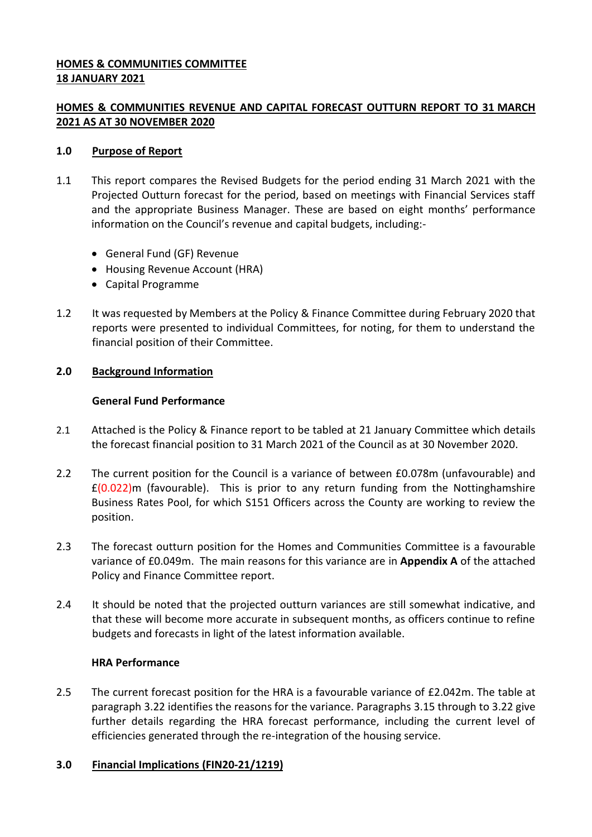## **HOMES & COMMUNITIES COMMITTEE 18 JANUARY 2021**

# **HOMES & COMMUNITIES REVENUE AND CAPITAL FORECAST OUTTURN REPORT TO 31 MARCH 2021 AS AT 30 NOVEMBER 2020**

### **1.0 Purpose of Report**

- 1.1 This report compares the Revised Budgets for the period ending 31 March 2021 with the Projected Outturn forecast for the period, based on meetings with Financial Services staff and the appropriate Business Manager. These are based on eight months' performance information on the Council's revenue and capital budgets, including:-
	- General Fund (GF) Revenue
	- Housing Revenue Account (HRA)
	- Capital Programme
- 1.2 It was requested by Members at the Policy & Finance Committee during February 2020 that reports were presented to individual Committees, for noting, for them to understand the financial position of their Committee.

### **2.0 Background Information**

### **General Fund Performance**

- 2.1 Attached is the Policy & Finance report to be tabled at 21 January Committee which details the forecast financial position to 31 March 2021 of the Council as at 30 November 2020.
- 2.2 The current position for the Council is a variance of between £0.078m (unfavourable) and  $£(0.022)$ m (favourable). This is prior to any return funding from the Nottinghamshire Business Rates Pool, for which S151 Officers across the County are working to review the position.
- 2.3 The forecast outturn position for the Homes and Communities Committee is a favourable variance of £0.049m. The main reasons for this variance are in **Appendix A** of the attached Policy and Finance Committee report.
- 2.4 It should be noted that the projected outturn variances are still somewhat indicative, and that these will become more accurate in subsequent months, as officers continue to refine budgets and forecasts in light of the latest information available.

#### **HRA Performance**

2.5 The current forecast position for the HRA is a favourable variance of £2.042m. The table at paragraph 3.22 identifies the reasons for the variance. Paragraphs 3.15 through to 3.22 give further details regarding the HRA forecast performance, including the current level of efficiencies generated through the re-integration of the housing service.

#### **3.0 Financial Implications (FIN20-21/1219)**